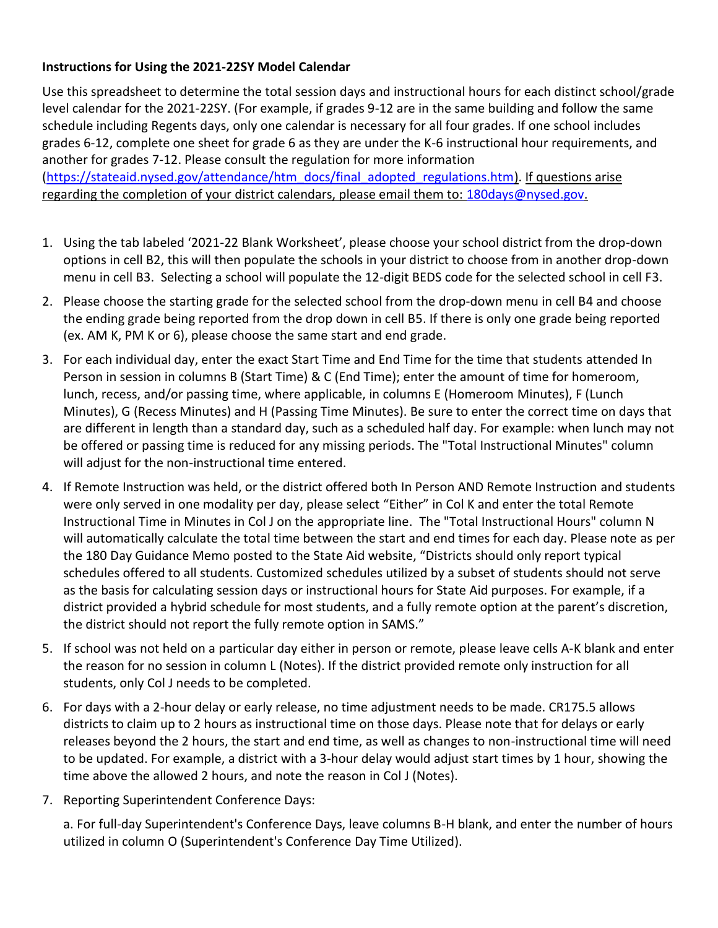## **Instructions for Using the 2021-22SY Model Calendar**

Use this spreadsheet to determine the total session days and instructional hours for each distinct school/grade level calendar for the 2021-22SY. (For example, if grades 9-12 are in the same building and follow the same schedule including Regents days, only one calendar is necessary for all four grades. If one school includes grades 6-12, complete one sheet for grade 6 as they are under the K-6 instructional hour requirements, and another for grades 7-12. Please consult the regulation for more information [\(https://stateaid.nysed.gov/attendance/htm\\_docs/final\\_adopted\\_regulations.htm\)](https://stateaid.nysed.gov/attendance/htm_docs/final_adopted_regulations.htm). If questions arise regarding the completion of your district calendars, please email them to: [180days@nysed.gov.](mailto:180days@nysed.gov)

- 1. Using the tab labeled '2021-22 Blank Worksheet', please choose your school district from the drop-down options in cell B2, this will then populate the schools in your district to choose from in another drop-down menu in cell B3. Selecting a school will populate the 12-digit BEDS code for the selected school in cell F3.
- 2. Please choose the starting grade for the selected school from the drop-down menu in cell B4 and choose the ending grade being reported from the drop down in cell B5. If there is only one grade being reported (ex. AM K, PM K or 6), please choose the same start and end grade.
- 3. For each individual day, enter the exact Start Time and End Time for the time that students attended In Person in session in columns B (Start Time) & C (End Time); enter the amount of time for homeroom, lunch, recess, and/or passing time, where applicable, in columns E (Homeroom Minutes), F (Lunch Minutes), G (Recess Minutes) and H (Passing Time Minutes). Be sure to enter the correct time on days that are different in length than a standard day, such as a scheduled half day. For example: when lunch may not be offered or passing time is reduced for any missing periods. The "Total Instructional Minutes" column will adjust for the non-instructional time entered.
- 4. If Remote Instruction was held, or the district offered both In Person AND Remote Instruction and students were only served in one modality per day, please select "Either" in Col K and enter the total Remote Instructional Time in Minutes in Col J on the appropriate line. The "Total Instructional Hours" column N will automatically calculate the total time between the start and end times for each day. Please note as per the 180 Day Guidance Memo posted to [the State Aid website,](https://stateaid.nysed.gov/attendance/htm_docs/attendance_900_990_Hour_Requirement_memo.htm) "Districts should only report typical schedules offered to all students. Customized schedules utilized by a subset of students should not serve as the basis for calculating session days or instructional hours for State Aid purposes. For example, if a district provided a hybrid schedule for most students, and a fully remote option at the parent's discretion, the district should not report the fully remote option in SAMS."
- 5. If school was not held on a particular day either in person or remote, please leave cells A-K blank and enter the reason for no session in column L (Notes). If the district provided remote only instruction for all students, only Col J needs to be completed.
- 6. For days with a 2-hour delay or early release, no time adjustment needs to be made. CR175.5 allows districts to claim up to 2 hours as instructional time on those days. Please note that for delays or early releases beyond the 2 hours, the start and end time, as well as changes to non-instructional time will need to be updated. For example, a district with a 3-hour delay would adjust start times by 1 hour, showing the time above the allowed 2 hours, and note the reason in Col J (Notes).
- 7. Reporting Superintendent Conference Days:

a. For full-day Superintendent's Conference Days, leave columns B-H blank, and enter the number of hours utilized in column O (Superintendent's Conference Day Time Utilized).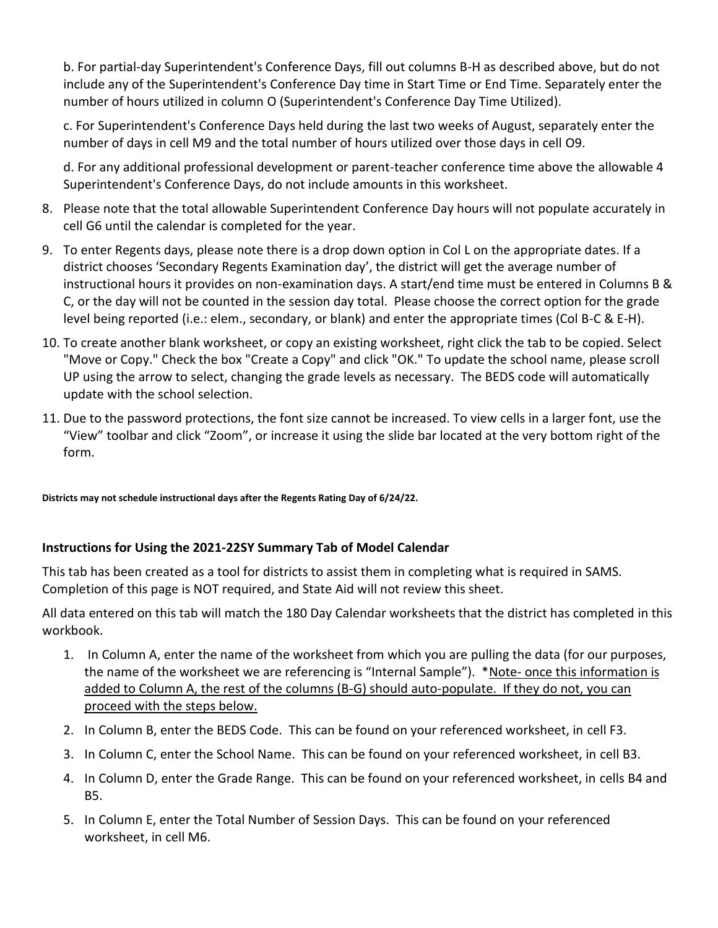b. For partial-day Superintendent's Conference Days, fill out columns B-H as described above, but do not include any of the Superintendent's Conference Day time in Start Time or End Time. Separately enter the number of hours utilized in column O (Superintendent's Conference Day Time Utilized).

c. For Superintendent's Conference Days held during the last two weeks of August, separately enter the number of days in cell M9 and the total number of hours utilized over those days in cell O9.

d. For any additional professional development or parent-teacher conference time above the allowable 4 Superintendent's Conference Days, do not include amounts in this worksheet.

- 8. Please note that the total allowable Superintendent Conference Day hours will not populate accurately in cell G6 until the calendar is completed for the year.
- 9. To enter Regents days, please note there is a drop down option in Col L on the appropriate dates. If a district chooses 'Secondary Regents Examination day', the district will get the average number of instructional hours it provides on non-examination days. A start/end time must be entered in Columns B & C, or the day will not be counted in the session day total. Please choose the correct option for the grade level being reported (i.e.: elem., secondary, or blank) and enter the appropriate times (Col B-C & E-H).
- 10. To create another blank worksheet, or copy an existing worksheet, right click the tab to be copied. Select "Move or Copy." Check the box "Create a Copy" and click "OK." To update the school name, please scroll UP using the arrow to select, changing the grade levels as necessary. The BEDS code will automatically update with the school selection.
- 11. Due to the password protections, the font size cannot be increased. To view cells in a larger font, use the "View" toolbar and click "Zoom", or increase it using the slide bar located at the very bottom right of the form.

**Districts may not schedule instructional days after the Regents Rating Day of 6/24/22.** 

## **Instructions for Using the 2021-22SY Summary Tab of Model Calendar**

This tab has been created as a tool for districts to assist them in completing what is required in SAMS. Completion of this page is NOT required, and State Aid will not review this sheet.

All data entered on this tab will match the 180 Day Calendar worksheets that the district has completed in this workbook.

- 1. In Column A, enter the name of the worksheet from which you are pulling the data (for our purposes, the name of the worksheet we are referencing is "Internal Sample"). \*Note- once this information is added to Column A, the rest of the columns (B-G) should auto-populate. If they do not, you can proceed with the steps below.
- 2. In Column B, enter the BEDS Code. This can be found on your referenced worksheet, in cell F3.
- 3. In Column C, enter the School Name. This can be found on your referenced worksheet, in cell B3.
- 4. In Column D, enter the Grade Range. This can be found on your referenced worksheet, in cells B4 and B5.
- 5. In Column E, enter the Total Number of Session Days. This can be found on your referenced worksheet, in cell M6.